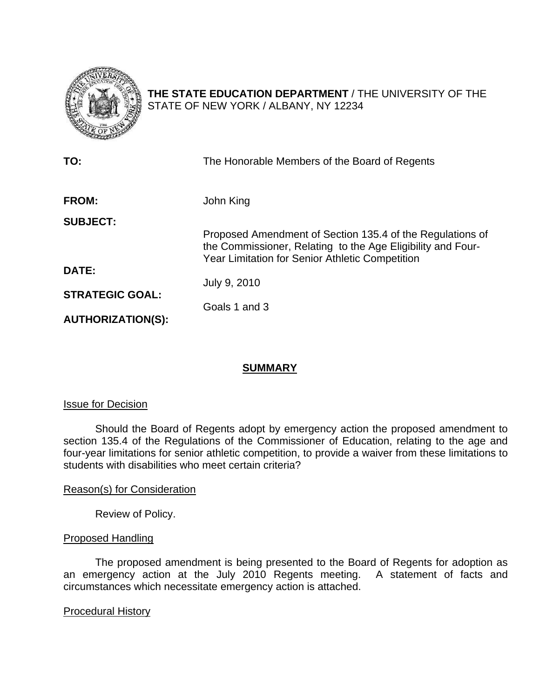

**THE STATE EDUCATION DEPARTMENT** / THE UNIVERSITY OF THE STATE OF NEW YORK / ALBANY, NY 12234

| TO:                      | The Honorable Members of the Board of Regents                                                                            |
|--------------------------|--------------------------------------------------------------------------------------------------------------------------|
| <b>FROM:</b>             | John King                                                                                                                |
| <b>SUBJECT:</b>          | Proposed Amendment of Section 135.4 of the Regulations of<br>the Commissioner, Relating to the Age Eligibility and Four- |
| <b>DATE:</b>             | <b>Year Limitation for Senior Athletic Competition</b>                                                                   |
| <b>STRATEGIC GOAL:</b>   | July 9, 2010<br>Goals 1 and 3                                                                                            |
| <b>AUTHORIZATION(S):</b> |                                                                                                                          |

# **SUMMARY**

# Issue for Decision

Should the Board of Regents adopt by emergency action the proposed amendment to section 135.4 of the Regulations of the Commissioner of Education, relating to the age and four-year limitations for senior athletic competition, to provide a waiver from these limitations to students with disabilities who meet certain criteria?

## Reason(s) for Consideration

Review of Policy.

# Proposed Handling

 The proposed amendment is being presented to the Board of Regents for adoption as an emergency action at the July 2010 Regents meeting. A statement of facts and circumstances which necessitate emergency action is attached.

## Procedural History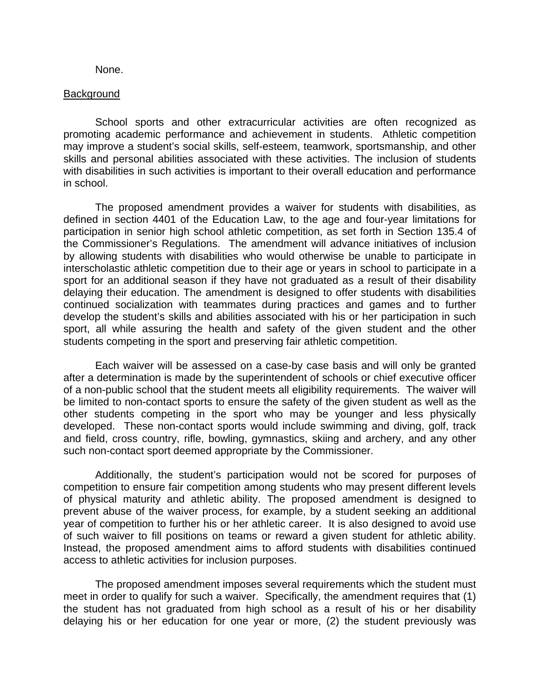#### None.

#### Background

School sports and other extracurricular activities are often recognized as promoting academic performance and achievement in students. Athletic competition may improve a student's social skills, self-esteem, teamwork, sportsmanship, and other skills and personal abilities associated with these activities. The inclusion of students with disabilities in such activities is important to their overall education and performance in school.

 The proposed amendment provides a waiver for students with disabilities, as defined in section 4401 of the Education Law, to the age and four-year limitations for participation in senior high school athletic competition, as set forth in Section 135.4 of the Commissioner's Regulations. The amendment will advance initiatives of inclusion by allowing students with disabilities who would otherwise be unable to participate in interscholastic athletic competition due to their age or years in school to participate in a sport for an additional season if they have not graduated as a result of their disability delaying their education. The amendment is designed to offer students with disabilities continued socialization with teammates during practices and games and to further develop the student's skills and abilities associated with his or her participation in such sport, all while assuring the health and safety of the given student and the other students competing in the sport and preserving fair athletic competition.

 Each waiver will be assessed on a case-by case basis and will only be granted after a determination is made by the superintendent of schools or chief executive officer of a non-public school that the student meets all eligibility requirements. The waiver will be limited to non-contact sports to ensure the safety of the given student as well as the other students competing in the sport who may be younger and less physically developed. These non-contact sports would include swimming and diving, golf, track and field, cross country, rifle, bowling, gymnastics, skiing and archery, and any other such non-contact sport deemed appropriate by the Commissioner.

 Additionally, the student's participation would not be scored for purposes of competition to ensure fair competition among students who may present different levels of physical maturity and athletic ability. The proposed amendment is designed to prevent abuse of the waiver process, for example, by a student seeking an additional year of competition to further his or her athletic career. It is also designed to avoid use of such waiver to fill positions on teams or reward a given student for athletic ability. Instead, the proposed amendment aims to afford students with disabilities continued access to athletic activities for inclusion purposes.

 The proposed amendment imposes several requirements which the student must meet in order to qualify for such a waiver. Specifically, the amendment requires that (1) the student has not graduated from high school as a result of his or her disability delaying his or her education for one year or more, (2) the student previously was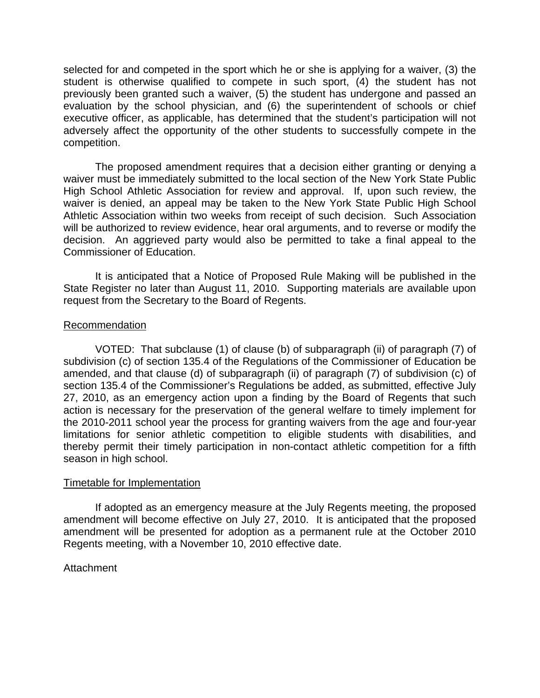selected for and competed in the sport which he or she is applying for a waiver, (3) the student is otherwise qualified to compete in such sport, (4) the student has not previously been granted such a waiver, (5) the student has undergone and passed an evaluation by the school physician, and (6) the superintendent of schools or chief executive officer, as applicable, has determined that the student's participation will not adversely affect the opportunity of the other students to successfully compete in the competition.

 The proposed amendment requires that a decision either granting or denying a waiver must be immediately submitted to the local section of the New York State Public High School Athletic Association for review and approval. If, upon such review, the waiver is denied, an appeal may be taken to the New York State Public High School Athletic Association within two weeks from receipt of such decision. Such Association will be authorized to review evidence, hear oral arguments, and to reverse or modify the decision. An aggrieved party would also be permitted to take a final appeal to the Commissioner of Education.

 It is anticipated that a Notice of Proposed Rule Making will be published in the State Register no later than August 11, 2010. Supporting materials are available upon request from the Secretary to the Board of Regents.

#### Recommendation

 VOTED: That subclause (1) of clause (b) of subparagraph (ii) of paragraph (7) of subdivision (c) of section 135.4 of the Regulations of the Commissioner of Education be amended, and that clause (d) of subparagraph (ii) of paragraph (7) of subdivision (c) of section 135.4 of the Commissioner's Regulations be added, as submitted, effective July 27, 2010, as an emergency action upon a finding by the Board of Regents that such action is necessary for the preservation of the general welfare to timely implement for the 2010-2011 school year the process for granting waivers from the age and four-year limitations for senior athletic competition to eligible students with disabilities, and thereby permit their timely participation in non-contact athletic competition for a fifth season in high school.

## Timetable for Implementation

If adopted as an emergency measure at the July Regents meeting, the proposed amendment will become effective on July 27, 2010. It is anticipated that the proposed amendment will be presented for adoption as a permanent rule at the October 2010 Regents meeting, with a November 10, 2010 effective date.

## Attachment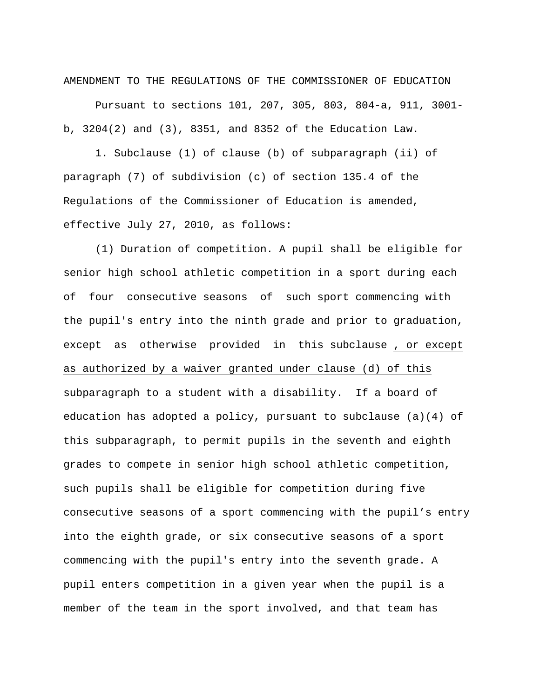AMENDMENT TO THE REGULATIONS OF THE COMMISSIONER OF EDUCATION

 Pursuant to sections 101, 207, 305, 803, 804-a, 911, 3001 b, 3204(2) and (3), 8351, and 8352 of the Education Law.

1. Subclause (1) of clause (b) of subparagraph (ii) of paragraph (7) of subdivision (c) of section 135.4 of the Regulations of the Commissioner of Education is amended, effective July 27, 2010, as follows:

 (1) Duration of competition. A pupil shall be eligible for senior high school athletic competition in a sport during each of four consecutive seasons of such sport commencing with the pupil's entry into the ninth grade and prior to graduation, except as otherwise provided in this subclause , or except as authorized by a waiver granted under clause (d) of this subparagraph to a student with a disability. If a board of education has adopted a policy, pursuant to subclause (a)(4) of this subparagraph, to permit pupils in the seventh and eighth grades to compete in senior high school athletic competition, such pupils shall be eligible for competition during five consecutive seasons of a sport commencing with the pupil's entry into the eighth grade, or six consecutive seasons of a sport commencing with the pupil's entry into the seventh grade. A pupil enters competition in a given year when the pupil is a member of the team in the sport involved, and that team has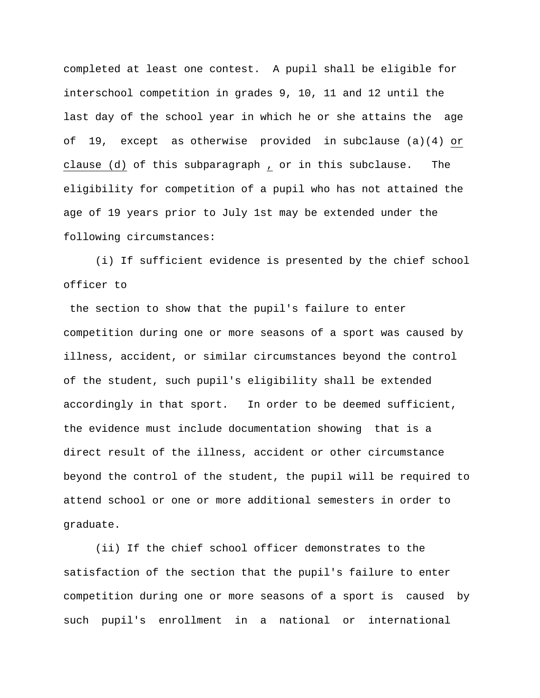completed at least one contest. A pupil shall be eligible for interschool competition in grades 9, 10, 11 and 12 until the last day of the school year in which he or she attains the age of 19, except as otherwise provided in subclause (a)(4) or clause (d) of this subparagraph , or in this subclause. The eligibility for competition of a pupil who has not attained the age of 19 years prior to July 1st may be extended under the following circumstances:

 (i) If sufficient evidence is presented by the chief school officer to

 the section to show that the pupil's failure to enter competition during one or more seasons of a sport was caused by illness, accident, or similar circumstances beyond the control of the student, such pupil's eligibility shall be extended accordingly in that sport. In order to be deemed sufficient, the evidence must include documentation showing that is a direct result of the illness, accident or other circumstance beyond the control of the student, the pupil will be required to attend school or one or more additional semesters in order to graduate.

 (ii) If the chief school officer demonstrates to the satisfaction of the section that the pupil's failure to enter competition during one or more seasons of a sport is caused by such pupil's enrollment in a national or international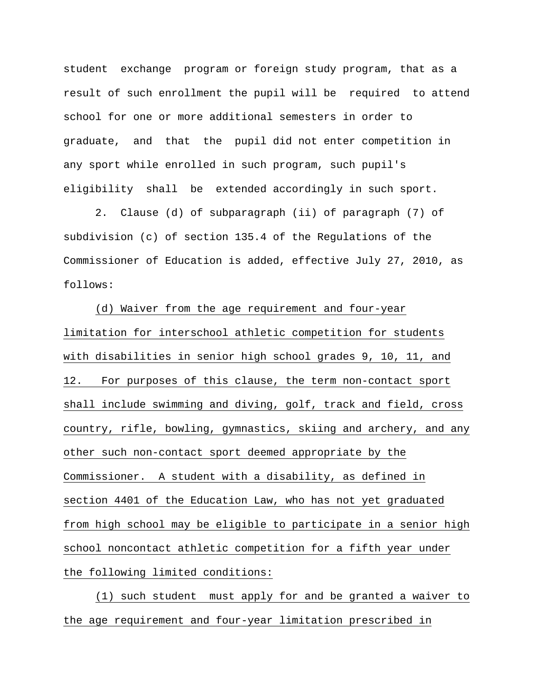student exchange program or foreign study program, that as a result of such enrollment the pupil will be required to attend school for one or more additional semesters in order to graduate, and that the pupil did not enter competition in any sport while enrolled in such program, such pupil's eligibility shall be extended accordingly in such sport.

 2. Clause (d) of subparagraph (ii) of paragraph (7) of subdivision (c) of section 135.4 of the Regulations of the Commissioner of Education is added, effective July 27, 2010, as follows:

(d) Waiver from the age requirement and four-year limitation for interschool athletic competition for students with disabilities in senior high school grades 9, 10, 11, and 12. For purposes of this clause, the term non-contact sport shall include swimming and diving, golf, track and field, cross country, rifle, bowling, gymnastics, skiing and archery, and any other such non-contact sport deemed appropriate by the Commissioner. A student with a disability, as defined in section 4401 of the Education Law, who has not yet graduated from high school may be eligible to participate in a senior high school noncontact athletic competition for a fifth year under the following limited conditions:

(1) such student must apply for and be granted a waiver to the age requirement and four-year limitation prescribed in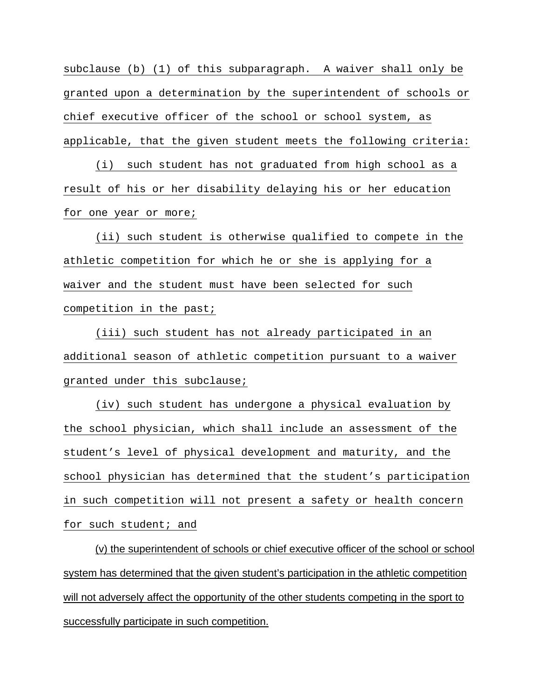subclause (b) (1) of this subparagraph. A waiver shall only be granted upon a determination by the superintendent of schools or chief executive officer of the school or school system, as applicable, that the given student meets the following criteria:

(i) such student has not graduated from high school as a result of his or her disability delaying his or her education for one year or more;

(ii) such student is otherwise qualified to compete in the athletic competition for which he or she is applying for a waiver and the student must have been selected for such competition in the past;

(iii) such student has not already participated in an additional season of athletic competition pursuant to a waiver granted under this subclause;

(iv) such student has undergone a physical evaluation by the school physician, which shall include an assessment of the student's level of physical development and maturity, and the school physician has determined that the student's participation in such competition will not present a safety or health concern for such student; and

 (v) the superintendent of schools or chief executive officer of the school or school system has determined that the given student's participation in the athletic competition will not adversely affect the opportunity of the other students competing in the sport to successfully participate in such competition.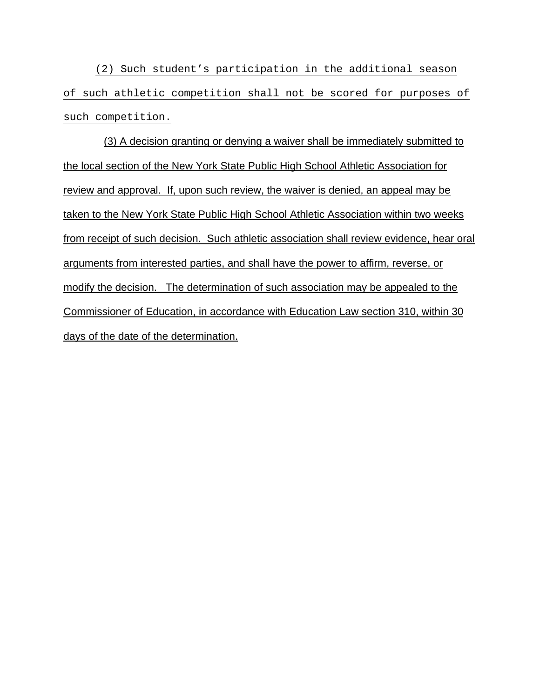(2) Such student's participation in the additional season of such athletic competition shall not be scored for purposes of such competition.

(3) A decision granting or denying a waiver shall be immediately submitted to the local section of the New York State Public High School Athletic Association for review and approval. If, upon such review, the waiver is denied, an appeal may be taken to the New York State Public High School Athletic Association within two weeks from receipt of such decision. Such athletic association shall review evidence, hear oral arguments from interested parties, and shall have the power to affirm, reverse, or modify the decision. The determination of such association may be appealed to the Commissioner of Education, in accordance with Education Law section 310, within 30 days of the date of the determination.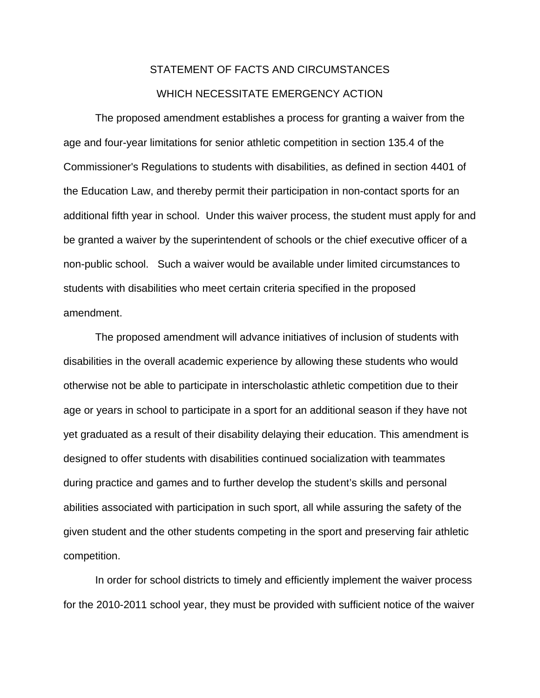# STATEMENT OF FACTS AND CIRCUMSTANCES WHICH NECESSITATE EMERGENCY ACTION

 The proposed amendment establishes a process for granting a waiver from the age and four-year limitations for senior athletic competition in section 135.4 of the Commissioner's Regulations to students with disabilities, as defined in section 4401 of the Education Law, and thereby permit their participation in non-contact sports for an additional fifth year in school. Under this waiver process, the student must apply for and be granted a waiver by the superintendent of schools or the chief executive officer of a non-public school. Such a waiver would be available under limited circumstances to students with disabilities who meet certain criteria specified in the proposed amendment.

 The proposed amendment will advance initiatives of inclusion of students with disabilities in the overall academic experience by allowing these students who would otherwise not be able to participate in interscholastic athletic competition due to their age or years in school to participate in a sport for an additional season if they have not yet graduated as a result of their disability delaying their education. This amendment is designed to offer students with disabilities continued socialization with teammates during practice and games and to further develop the student's skills and personal abilities associated with participation in such sport, all while assuring the safety of the given student and the other students competing in the sport and preserving fair athletic competition.

 In order for school districts to timely and efficiently implement the waiver process for the 2010-2011 school year, they must be provided with sufficient notice of the waiver